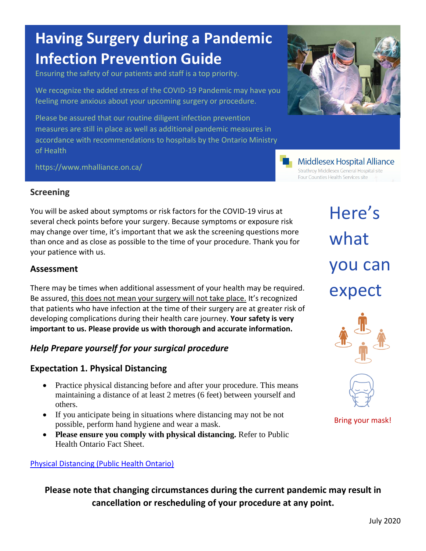# **Having Surgery during a Pandemic Infection Prevention Guide**

Ensuring the safety of our patients and staff is a top priority.

We recognize the added stress of the COVID-19 Pandemic may have you feeling more anxious about your upcoming surgery or procedure.

Please be assured that our routine diligent infection prevention measures are still in place as well as additional pandemic measures in accordance with recommendations to hospitals by the Ontario Ministry of Health

https://www.mhalliance.on.ca/



**Middlesex Hospital Alliance** Strathroy Middlesex General Hospital site Four Counties Health Services site

## **Screening**

You will be asked about symptoms or risk factors for the COVID-19 virus at several check points before your surgery. Because symptoms or exposure risk may change over time, it's important that we ask the screening questions more than once and as close as possible to the time of your procedure. Thank you for your patience with us.

#### **Assessment**

There may be times when additional assessment of your health may be required. Be assured, this does not mean your surgery will not take place. It's recognized that patients who have infection at the time of their surgery are at greater risk of developing complications during their health care journey. **Your safety is very important to us. Please provide us with thorough and accurate information.** 

#### *Help Prepare yourself for your surgical procedure*

#### **Expectation 1. Physical Distancing**

- Practice physical distancing before and after your procedure. This means maintaining a distance of at least 2 metres (6 feet) between yourself and others.
- If you anticipate being in situations where distancing may not be not possible, perform hand hygiene and wear a mask.
- Please ensure you comply with physical distancing. Refer to Public Health Ontario Fact Sheet.

#### [Physical Distancing \(Public Health Ontario\)](https://www.publichealthontario.ca/-/media/documents/ncov/factsheet/factsheet-covid-19-guide-physical-distancing.pdf?la=en)

Here's what you can expect





Bring your mask!

**Please note that changing circumstances during the current pandemic may result in cancellation or rescheduling of your procedure at any point.**